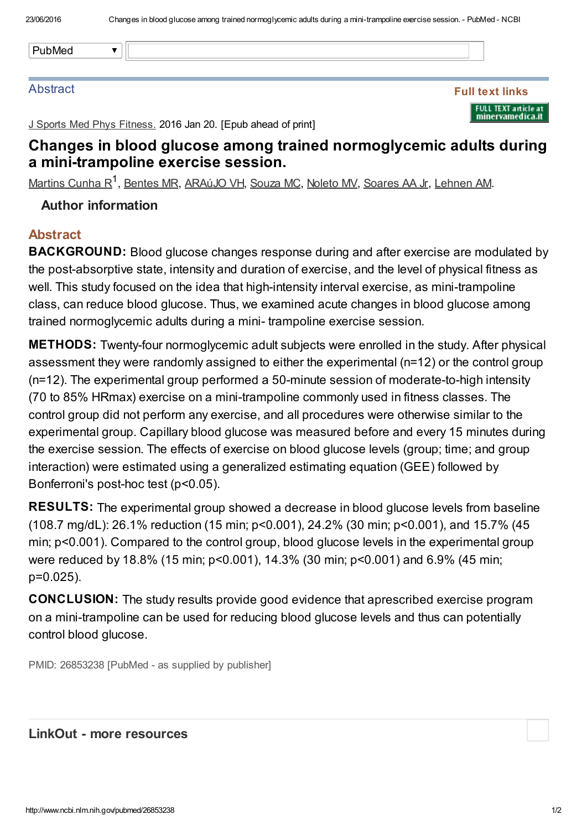#### **Abstract**

Full text links FULL TEXT article at<br>minervamedica.it

J Sports Med Phys Fitness. 2016 Jan 20. [Epub ahead of print]

## Changes in blood glucose among trained normoglycemic adults during a mini-trampoline exercise session.

[Martins](http://www.ncbi.nlm.nih.gov/pubmed/?term=Martins%20Cunha%20R%5BAuthor%5D&cauthor=true&cauthor_uid=26853238) Cunha R<sup>1</sup>, [Bentes](http://www.ncbi.nlm.nih.gov/pubmed/?term=Bentes%20MR%5BAuthor%5D&cauthor=true&cauthor_uid=26853238) MR, [ARAúJO](http://www.ncbi.nlm.nih.gov/pubmed/?term=ARA%C3%BAJO%20VH%5BAuthor%5D&cauthor=true&cauthor_uid=26853238) VH, [Souza](http://www.ncbi.nlm.nih.gov/pubmed/?term=Souza%20MC%5BAuthor%5D&cauthor=true&cauthor_uid=26853238) MC, [Noleto](http://www.ncbi.nlm.nih.gov/pubmed/?term=Noleto%20MV%5BAuthor%5D&cauthor=true&cauthor_uid=26853238) MV, [Soares](http://www.ncbi.nlm.nih.gov/pubmed/?term=Soares%20AA%20Jr%5BAuthor%5D&cauthor=true&cauthor_uid=26853238) AA Jr, [Lehnen](http://www.ncbi.nlm.nih.gov/pubmed/?term=Lehnen%20AM%5BAuthor%5D&cauthor=true&cauthor_uid=26853238) AM.

### Author information

### Abstract

**BACKGROUND:** Blood glucose changes response during and after exercise are modulated by the post-absorptive state, intensity and duration of exercise, and the level of physical fitness as well. This study focused on the idea that high-intensity interval exercise, as mini-trampoline class, can reduce blood glucose. Thus, we examined acute changes in blood glucose among trained normoglycemic adults during a mini- trampoline exercise session.

**METHODS:** Twenty-four normoglycemic adult subjects were enrolled in the study. After physical assessment they were randomly assigned to either the experimental (n=12) or the control group (n=12). The experimental group performed a 50-minute session of moderate-to-high intensity (70 to 85% HRmax) exercise on a mini-trampoline commonly used in fitness classes. The control group did not perform any exercise, and all procedures were otherwise similar to the experimental group. Capillary blood glucose was measured before and every 15 minutes during the exercise session. The effects of exercise on blood glucose levels (group; time; and group interaction) were estimated using a generalized estimating equation (GEE) followed by Bonferroni's post-hoc test (p<0.05).

RESULTS: The experimental group showed a decrease in blood glucose levels from baseline (108.7 mg/dL): 26.1% reduction (15 min; p<0.001), 24.2% (30 min; p<0.001), and 15.7% (45 min; p<0.001). Compared to the control group, blood glucose levels in the experimental group were reduced by 18.8% (15 min; p<0.001), 14.3% (30 min; p<0.001) and 6.9% (45 min; p=0.025).

CONCLUSION: The study results provide good evidence that aprescribed exercise program on a mini-trampoline can be used for reducing blood glucose levels and thus can potentially control blood glucose.

PMID: 26853238 [PubMed - as supplied by publisher]

#### LinkOut - more resources